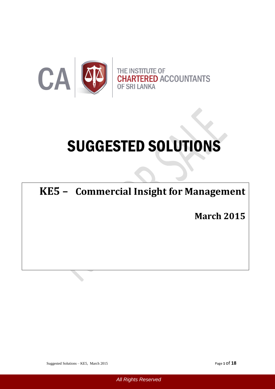

# SUGGESTED SOLUTIONS

# **KE5 – Commercial Insight for Management**

of the counting  $\alpha$  and  $\alpha$  and  $\alpha$ **March 2015**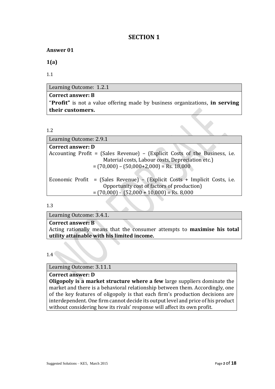# **SECTION 1**

# **Answer 01**

**1(a)**

1.1

Learning Outcome: 1.2.1

**Correct answer: B** "**Profit"** is not a value offering made by business organizations, **in serving their customers.**

```
1.2
```

| Learning Outcome: 2.9.1                                                     |
|-----------------------------------------------------------------------------|
| <b>Correct answer: D</b>                                                    |
| Accounting Profit = (Sales Revenue) – (Explicit Costs of the Business, i.e. |
| Material costs, Labour costs, Depreciation etc.)                            |
| $=(70,000) - (50,000+2,000) = \text{Rs. } 18,000$                           |
|                                                                             |
| Economic Profit = (Sales Revenue) – (Explicit Costs + Implicit Costs, i.e.  |
| Opportunity cost of factors of production)                                  |
| $=(70,000) - (52,000 + 10,000) = \text{Rs. } 8,000$                         |

1.3

Learning Outcome: 3.4.1.

**Correct answer: B**

Acting rationally means that the consumer attempts to **maximise his total utility attainable with his limited income.**

1.4

Learning Outcome: 3.11.1

**Correct answer: D**

**Oligopoly is a market structure where a few** large suppliers dominate the market and there is a behavioral relationship between them. Accordingly, one of the key features of oligopoly is that each firm's production decisions are interdependent. One firm cannot decide its output level and price of his product without considering how its rivals' response will affect its own profit.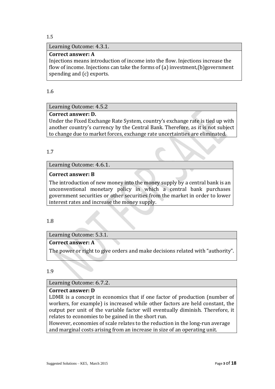#### Learning Outcome: 4.3.1.

#### **Correct answer: A**

Injections means introduction of income into the flow. Injections increase the flow of income. Injections can take the forms of (a) investment,(b)government spending and (c) exports.

#### 1.6

# Learning Outcome: 4.5.2

#### **Correct answer: D.**

Under the Fixed Exchange Rate System, country's exchange rate is tied up with another country's currency by the Central Bank. Therefore, as it is not subject to change due to market forces, exchange rate uncertainties are eliminated.

#### 1.7

#### Learning Outcome: 4.6.1.

#### **Correct answer: B**

The introduction of new money into the money supply by a central bank is an unconventional monetary policy in which a central bank purchases government securities or other securities from the market in order to lower interest rates and increase the money supply.

#### 1.8

# Learning Outcome: 5.3.1.

# **Correct answer: A**

The power or right to give orders and make decisions related with "authority".

#### 1.9

#### Learning Outcome: 6.7.2.

#### **Correct answer: D**

LDMR is a concept in economics that if one factor of production (number of workers, for example) is increased while other factors are held constant, the output per unit of the variable factor will eventually diminish. Therefore, it relates to economies to be gained in the short run.

However, economies of scale relates to the reduction in the long-run average and marginal costs arising from an increase in size of an operating unit.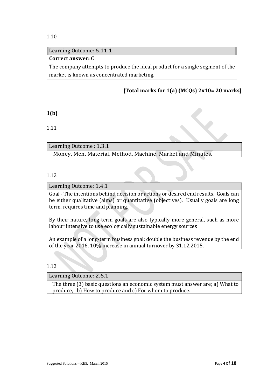#### Learning Outcome: 6.11.1

# **Correct answer: C**

The company attempts to produce the ideal product for a single segment of the market is known as concentrated marketing.

# **[Total marks for 1(a) (MCQs) 2x10= 20 marks]**

#### **1(b)**

1.11

Learning Outcome : 1.3.1

Money, Men, Material, Method, Machine, Market and Minutes.

#### 1.12

#### Learning Outcome: 1.4.1

Goal - The intentions behind decision or actions or desired end results. Goals can be either qualitative (aims) or quantitative (objectives). Usually goals are long term, requires time and planning.

By their nature, long-term goals are also typically more general, such as more labour intensive to use ecologically sustainable energy sources

An example of a long-term business goal; double the business revenue by the end of the year 2016, 10% increase in annual turnover by 31.12.2015.

#### 1.13

Learning Outcome: 2.6.1

The three (3) basic questions an economic system must answer are; a) What to produce, b) How to produce and c) For whom to produce.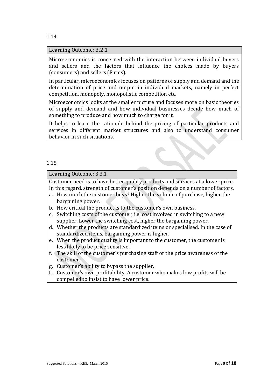#### Learning Outcome: 3.2.1

Micro-economics is concerned with the interaction between individual buyers and sellers and the factors that influence the choices made by buyers (consumers) and sellers (Firms).

In particular, microeconomics focuses on patterns of supply and demand and the determination of price and output in individual markets, namely in perfect competition, monopoly, monopolistic competition etc.

Microeconomics looks at the smaller picture and focuses more on basic theories of supply and demand and how individual businesses decide how much of something to produce and how much to charge for it.

It helps to learn the rationale behind the pricing of particular products and services in different market structures and also to understand consumer behavior in such situations.

#### 1.15

#### Learning Outcome: 3.3.1

Customer need is to have better quality products and services at a lower price. In this regard, strength of customer's position depends on a number of factors.

- a. How much the customer buys? Higher the volume of purchase, higher the bargaining power.
- b. How critical the product is to the customer's own business.
- c. Switching costs of the customer, i.e. cost involved in switching to a new supplier. Lower the switching cost, higher the bargaining power.
- d. Whether the products are standardized items or specialised. In the case of standardized items, bargaining power is higher.
- e. When the product quality is important to the customer, the customer is less likely to be price sensitive.
- f. The skill of the customer's purchasing staff or the price awareness of the customer.
- g. Customer's ability to bypass the supplier.
- h. Customer's own profitability. A customer who makes low profits will be compelled to insist to have lower price.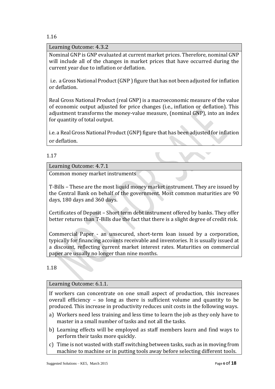Learning Outcome: 4.3.2

Nominal GNP is GNP evaluated at current market prices. Therefore, nominal GNP will include all of the changes in market prices that have occurred during the current year due to inflation or deflation.

i.e. a Gross National Product (GNP ) figure that has not been adjusted for inflation or deflation.

Real Gross National Product (real GNP) is a macroeconomic measure of the value of economic output adjusted for price changes (i.e., inflation or deflation). This adjustment transforms the money-value measure, (nominal GNP), into an index for quantity of total output.

i.e. a Real Gross National Product (GNP) figure that has been adjusted for inflation or deflation.

# 1.17

Learning Outcome: 4.7.1

Common money market instruments

T-Bills – These are the most liquid money market instrument. They are issued by the Central Bank on behalf of the government. Most common maturities are 90 days, 180 days and 360 days.

Certificates of Deposit – Short term debt instrument offered by banks. They offer better returns than T-Bills due the fact that there is a slight degree of credit risk.

Commercial Paper - an unsecured, short-term loan issued by a corporation, typically for financing accounts receivable and inventories. It is usually issued at a discount, reflecting current market interest rates. Maturities on commercial paper are usually no longer than nine months.

1.18

#### Learning Outcome: 6.1.1.

If workers can concentrate on one small aspect of production, this increases overall efficiency – so long as there is sufficient volume and quantity to be produced. This increase in productivity reduces unit costs in the following ways.

- a) Workers need less training and less time to learn the job as they only have to master in a small number of tasks and not all the tasks.
- b) Learning effects will be employed as staff members learn and find ways to perform their tasks more quickly.
- c) Time is not wasted with staff switching between tasks, such as in moving from machine to machine or in putting tools away before selecting different tools.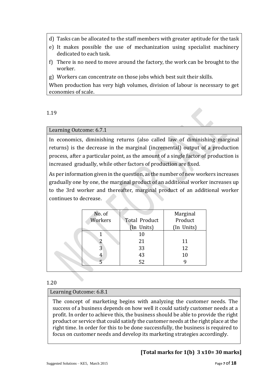- d) Tasks can be allocated to the staff members with greater aptitude for the task
- e) It makes possible the use of mechanization using specialist machinery dedicated to each task.
- f) There is no need to move around the factory, the work can be brought to the worker.
- g) Workers can concentrate on those jobs which best suit their skills.

When production has very high volumes, division of labour is necessary to get economies of scale.

1.19

# Learning Outcome: 6.7.1

In economics, diminishing returns (also called law of diminishing marginal returns) is the decrease in the marginal (incremental) output of a production process, after a particular point, as the amount of a single factor of production is increased gradually, while other factors of production are fixed.

As per information given in the question, as the number of new workers increases gradually one by one, the marginal product of an additional worker increases up to the 3rd worker and thereafter, marginal product of an additional worker continues to decrease.

| No. of  |               | Marginal   |
|---------|---------------|------------|
| Workers | Total Product | Product    |
|         | (In Units)    | (In Units) |
|         | 10            |            |
| 2       | 21            | 11         |
| 3       | 33            | 12         |
| 4       | 43            | 10         |
|         | 52            |            |

# 1.20

# Learning Outcome: 6.8.1

The concept of marketing begins with analyzing the customer needs. The success of a business depends on how well it could satisfy customer needs at a profit. In order to achieve this, the business should be able to provide the right product or service that could satisfy the customer needs at the right place at the right time. In order for this to be done successfully, the business is required to focus on customer needs and develop its marketing strategies accordingly.

# **[Total marks for 1(b) 3 x10= 30 marks]**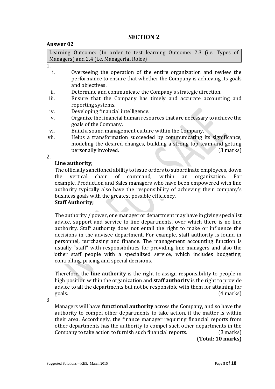# **SECTION 2**

#### **Answer 02**

Learning Outcome: (In order to test learning Outcome: 2.3 (i.e. Types of Managers) and 2.4 (i.e. Managerial Roles)

- i. Overseeing the operation of the entire organization and review the performance to ensure that whether the Company is achieving its goals and objectives.
- ii. Determine and communicate the Company's strategic direction.
- iii. Ensure that the Company has timely and accurate accounting and reporting systems.
- iv. Developing financial intelligence.
- v. Organize the financial human resources that are necessary to achieve the goals of the Company.
- vi. Build a sound management culture within the Company.
- vii. Helps a transformation succeeded by communicating its significance, modeling the desired changes, building a strong top team and getting personally involved. (3 marks)

2.

# **Line authority**;

The officially sanctioned ability to issue orders to subordinate employees, down the vertical chain of command, within an organization. For example, Production and Sales managers who have been empowered with line authority typically also have the responsibility of achieving their company's business goals with the greatest possible efficiency.

# **Staff Authority;**

The authority / power, one manager or department may have in giving specialist advice, support and service to line departments, over which there is no line authority. Staff authority does not entail the right to make or influence the decisions in the advisee department. For example, staff authority is found in personnel, purchasing and finance. The management accounting function is usually "staff" with responsibilities for providing line managers and also the other staff people with a specialized service, which includes budgeting, controlling, pricing and special decisions.

Therefore, the **line authority** is the right to assign responsibility to people in high position within the organization and **staff authority** is the right to provide advice to all the departments but not be responsible with them for attaining for goals. (4 marks)

3

Managers will have **functional authority** across the Company, and so have the authority to compel other departments to take action, if the matter is within their area. Accordingly, the finance manager requiring financial reports from other departments has the authority to compel such other departments in the Company to take action to furnish such financial reports. (3 marks)

 **(Total: 10 marks)**

<sup>1.</sup>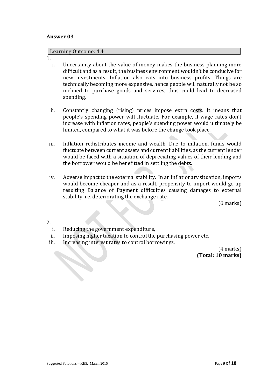#### **Answer 03**

#### Learning Outcome: 4.4

#### 1.

- i. Uncertainty about the value of money makes the business planning more difficult and as a result, the business environment wouldn't be conducive for new investments. Inflation also eats into business profits. Things are technically becoming more expensive, hence people will naturally not be so inclined to purchase goods and services, thus could lead to decreased spending.
- ii. Constantly changing (rising) prices impose extra costs. It means that people's spending power will fluctuate. For example, if wage rates don't increase with inflation rates, people's spending power would ultimately be limited, compared to what it was before the change took place.
- iii. Inflation redistributes income and wealth. Due to inflation, funds would fluctuate between current assets and current liabilities, as the current lender would be faced with a situation of depreciating values of their lending and the borrower would be benefitted in settling the debts.
- iv. Adverse impact to the external stability. In an inflationary situation, imports would become cheaper and as a result, propensity to import would go up resulting Balance of Payment difficulties causing damages to external stability, i.e. deteriorating the exchange rate.

(6 marks)

2.

- i. Reducing the government expenditure,
- ii. Imposing higher taxation to control the purchasing power etc.
- iii. Increasing interest rates to control borrowings.

(4 marks)  **(Total: 10 marks)**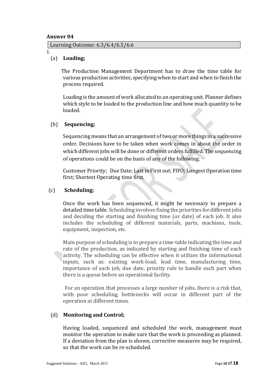#### **Answer 04**

Learning Outcome: 6.3/6.4/6.5/6.6

1.

#### (a) **Loading;**

The Production Management Department has to draw the time table for various production activities, specifying when to start and when to finish the process required.

Loading is the amount of work allocated to an operating unit. Planner defines which style to be loaded to the production line and how much quantity to be loaded.

#### (b) **Sequencing;**

Sequencing means that an arrangement oftwo or more things in a successive order. Decisions have to be taken when work comes in about the order in which different jobs will be done or different orders fulfilled. The sequencing of operations could be on the basis of any of the following.

Customer Priority; Due Date; Last in First out; FIFO; Longest Operation time first; Shortest Operating time first.

#### (c) **Scheduling;**

Once the work has been sequenced, it might be necessary to prepare a detailed time table. Scheduling involves fixing the priorities for different jobs and deciding the starting and finishing time (or date) of each job. It also includes the scheduling of different materials, parts, machines, tools, equipment, inspection, etc.

Main purpose of scheduling is to prepare a time-table indicating the time and rate of the production, as indicated by starting and finishing time of each activity. The scheduling can be effective when it utilizes the informational inputs, such as: existing work-load, lead time, manufacturing time, importance of each job, due date, priority rule to handle each part when there is a queue before an operational facility.

 For an operation that processes a large number of jobs, there is a risk that, with poor scheduling, bottlenecks will occur in different part of the operation at different times.

# (d) **Monitoring and Control;**

Having loaded, sequenced and scheduled the work, management must monitor the operation to make sure that the work is proceeding as planned. If a deviation from the plan is shown, corrective measures may be required, so that the work can be re-scheduled.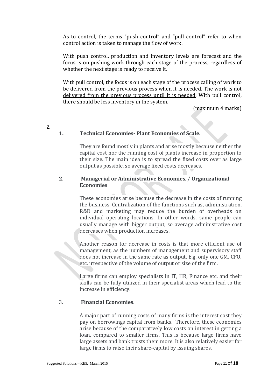As to control, the terms "push control" and "pull control" refer to when control action is taken to manage the flow of work.

With push control, production and inventory levels are forecast and the focus is on pushing work through each stage of the process, regardless of whether the next stage is ready to receive it.

With pull control, the focus is on each stage of the process calling of work to be delivered from the previous process when it is needed. The work is not delivered from the previous process until it is needed. With pull control, there should be less inventory in the system.

(maximum 4 marks)

2.

# **1. Technical Economies- Plant Economies of Scale**.

They are found mostly in plants and arise mostly because neither the capital cost nor the running cost of plants increase in proportion to their size. The main idea is to spread the fixed costs over as large output as possible, so average fixed costs decreases.

#### **2**. **Managerial or Administrative Economies**. / **Organizational Economies**

These economies arise because the decrease in the costs of running the business. Centralization of the functions such as, administration, R&D and marketing may reduce the burden of overheads on individual operating locations. In other words, same people can usually manage with bigger output, so average administrative cost decreases when production increases.

Another reason for decrease in costs is that more efficient use of management, as the numbers of management and supervisory staff does not increase in the same rate as output. E.g. only one GM, CFO, etc. irrespective of the volume of output or size of the firm.

Large firms can employ specialists in IT, HR, Finance etc. and their skills can be fully utilized in their specialist areas which lead to the increase in efficiency.

#### 3. **Financial Economies**.

A major part of running costs of many firms is the interest cost they pay on borrowings capital from banks. Therefore, these economies arise because of the comparatively low costs on interest in getting a loan, compared to smaller firms. This is because large firms have large assets and bank trusts them more. It is also relatively easier for large firms to raise their share-capital by issuing shares.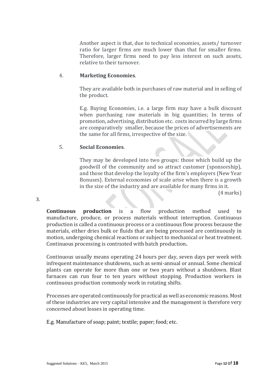Another aspect is that, due to technical economies, assets/ turnover ratio for larger firms are much lower than that for smaller firms. Therefore, larger firms need to pay less interest on such assets, relative to their turnover.

# 4. **Marketing Economies**.

They are available both in purchases of raw material and in selling of the product.

E.g. Buying Economies, i.e. a large firm may have a bulk discount when purchasing raw materials in big quantities; In terms of promotion, advertising, distribution etc. costs incurred by large firms are comparatively smaller, because the prices of advertisements are the same for all firms, irrespective of the size.

# 5. **Social Economies**.

They may be developed into two groups: those which build up the goodwill of the community and so attract customer (sponsorship), and those that develop the loyalty of the firm's employers (New Year Bonuses). External economies of scale arise when there is a growth in the size of the industry and are available for many firms in it.

(4 marks)

3.

**Continuous production** is a flow production method used to manufacture, produce, or process materials without interruption. Continuous production is called a continuous process or a continuous flow process because the materials, either dries bulk or fluids that are being processed are continuously in motion, undergoing chemical reactions or subject to mechanical or heat treatment. Continuous processing is contrasted with batch production**.**

Continuous usually means operating 24 hours per day, seven days per week with infrequent maintenance shutdowns, such as semi-annual or annual. Some chemical plants can operate for more than one or two years without a shutdown. Blast furnaces can run four to ten years without stopping. Production workers in continuous production commonly work in rotating shifts.

Processes are operated continuously for practical as well as economic reasons. Most of these industries are very capital intensive and the management is therefore very concerned about losses in operating time.

E.g. Manufacture of soap; paint; textile; paper; food; etc.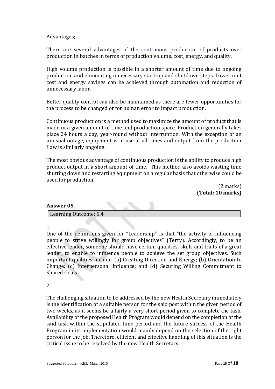#### Advantages;

There are several advantages of the [continuous production](http://www.wisegeek.com/what-is-continuous-production.htm) of products over production in batches in terms of production volume, cost, energy, and quality.

High volume production is possible in a shorter amount of time due to ongoing production and eliminating unnecessary start-up and shutdown steps. Lower unit cost and energy savings can be achieved through automation and reduction of unnecessary labor.

Better quality control can also be maintained as there are fewer opportunities for the process to be changed or for human error to impact production.

Continuous production is a method used to maximize the amount of product that is made in a given amount of time and production space. Production generally takes place 24 hours a day, year-round without interruption. With the exception of an unusual outage, equipment is in use at all times and output from the production flow is similarly ongoing.

The most obvious advantage of continuous production is the ability to produce high product output in a short amount of time. This method also avoids wasting time shutting down and restarting equipment on a regular basis that otherwise could be used for production.

> (2 marks) **(Total: 10 marks)**

#### **Answer 05**

Learning Outcome: 5.4

1.

One of the definitions given for "Leadership" is that "the activity of influencing people to strive willingly for group objectives" (Terry). Accordingly, to be an effective leader, someone should have certain qualities, skills and traits of a great leader, to enable to influence people to achieve the set group objectives. Such important qualities include, (a) Creating Direction and Energy; (b) Orientation to Change; (c) Interpersonal Influence; and (d) Securing Willing Commitment to Shared Goals.

2.

The challenging situation to be addressed by the new Health Secretary immediately is the identification of a suitable person for the said post within the given period of two weeks, as it seems be a fairly a very short period given to complete the task. Availability of the proposed Health Program would depend on the completion of the said task within the stipulated time period and the future success of the Health Program in its implementation would mainly depend on the selection of the right person for the job. Therefore, efficient and effective handling of this situation is the critical issue to be resolved by the new Health Secretary.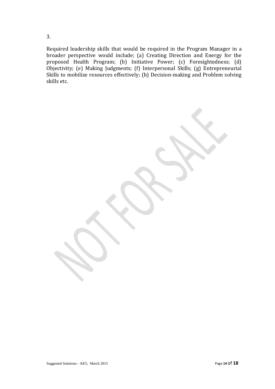Required leadership skills that would be required in the Program Manager in a broader perspective would include; (a) Creating Direction and Energy for the proposed Health Program; (b) Initiative Power; (c) Foresightedness; (d) Objectivity; (e) Making Judgments; (f) Interpersonal Skills; (g) Entrepreneurial Skills to mobilize resources effectively; (h) Decision-making and Problem solving skills etc.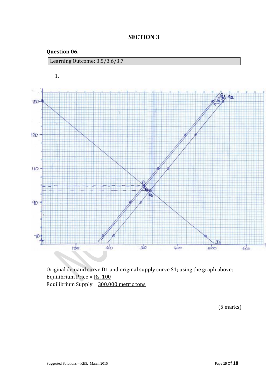

**SECTION 3**

Original demand curve D1 and original supply curve S1; using the graph above; Equilibrium Price = Rs. 100 Equilibrium Supply = 300,000 metric tons

(5 marks)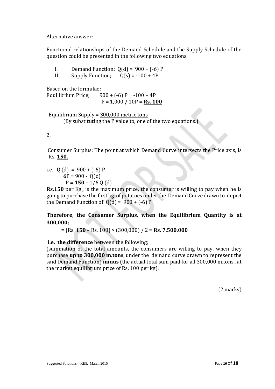Alternative answer:

Functional relationships of the Demand Schedule and the Supply Schedule of the question could be presented in the following two equations.

- I. Demand Function;  $O(d) = 900 + (-6) P$
- II. Supply Function;  $O(s) = -100 + 4P$

Based on the formulae:

Equilibrium Price;  $900 + (-6) P = -100 + 4P$ P = 1,000 **/** 10P = **Rs. 100**

Equilibrium Supply = 300,000 metric tons (By substituting the P value to, one of the two equations.)

2.

Consumer Surplus; The point at which Demand Curve intersects the Price axis, is Rs. **150.**

i.e.  $Q$  (d) = 900 + (-6) P  $6P = 900 - O(d)$  $P = 150 - 1/6 Q$  (d)

**Rs.150** per Kg., is the maximum price, the consumer is willing to pay when he is going to purchase the first kg. of potatoes under the Demand Curve drawn to depict the Demand Function of  $O(d) = 900 + (-6) P$ 

**Therefore, the Consumer Surplus, when the Equilibrium Quantity is at 300,000;**

 **=** (Rs. **150** – Rs. 100) × (300,000) / 2 = **Rs. 7,500,000** 

**i.e. the difference** between the following;

(summation of the total amounts, the consumers are willing to pay, when they purchase **up to 300,000 m.tons**, under the demand curve drawn to represent the said Demand Function) **minus (**the actual total sum paid for all 300,000 m.tons., at the market equilibrium price of Rs. 100 per kg).

(2 marks)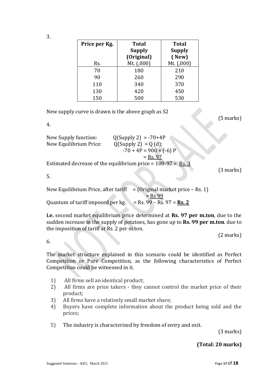| Price per Kg. | <b>Total</b>  | <b>Total</b>  |
|---------------|---------------|---------------|
|               | <b>Supply</b> | <b>Supply</b> |
|               | (Original)    | $($ New $)$   |
| Rs.           | Mt. $(0.000)$ | Mt. $(0.001)$ |
|               |               |               |

|     | ----<br>(Original) | -----<br>(New) |
|-----|--------------------|----------------|
| Rs. | Mt. (,000)         | Mt. (,000)     |
| 70  | 180                | 210            |
| 90  | 260                | 290            |
| 110 | 340                | 370            |
| 130 | 420                | 450            |
| 150 | 500                | 530            |
|     |                    |                |

**Supply** 

New supply curve is drawn is the above graph as S2

(5 marks)

4.

3.

| New Supply function:   | $Q(Supply 2) = -70+4P$                                         |
|------------------------|----------------------------------------------------------------|
| New Equilibrium Price: | $Q(Supply 2) = Q(d);$                                          |
|                        | $-70 + 4P = 900 + (-6) P$                                      |
|                        | $=$ Rs. 97                                                     |
|                        | Estimated decrease of the equilibrium price = $100-97 =$ Rs. 3 |

(3 marks)

5.

| New Equilibrium Price, after tariff | $=$ (Original market price – Rs. 1)         |
|-------------------------------------|---------------------------------------------|
|                                     | $=$ Rs 99                                   |
| Quantum of tariff imposed per kg.   | $\epsilon$ = Rs. 99 – Rs. 97 = <b>Rs. 2</b> |

**i.e.** second market equilibrium price determined at **Rs. 97 per m.ton**, due to the sudden increase in the supply of potatoes, has gone up to **Rs. 99 per m.ton**. due to the imposition of tariff at Rs. 2 per m.ton.

(2 marks)

6.

The market structure explained in this scenario could be identified as Perfect Competition or Pure Competition, as the following characteristics of Perfect Competition could be witnessed in it.

- 1) All firms sell an identical product;
- 2) All firms are price takers they cannot control the market price of their product;
- 3) All firms have a relatively small market share;
- 4) Buyers have complete information about the product being sold and the prices;
- 5) The industry is characterized by freedom of entry and exit.

(3 marks)

**(Total: 20 marks)**